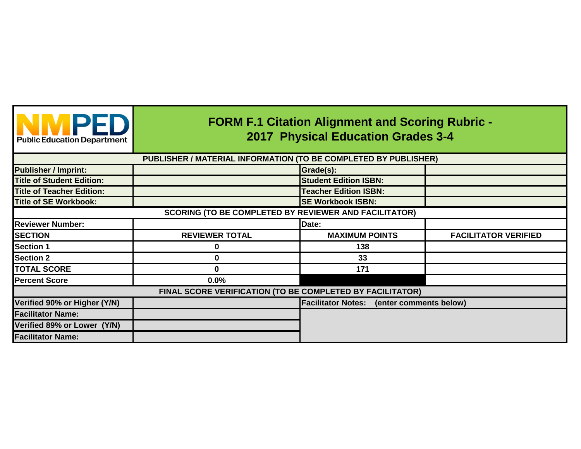| <b>Public Education Department</b> | <b>FORM F.1 Citation Alignment and Scoring Rubric -</b><br><b>2017 Physical Education Grades 3-4</b> |                                                  |                             |  |  |  |
|------------------------------------|------------------------------------------------------------------------------------------------------|--------------------------------------------------|-----------------------------|--|--|--|
|                                    | PUBLISHER / MATERIAL INFORMATION (TO BE COMPLETED BY PUBLISHER)                                      |                                                  |                             |  |  |  |
| <b>Publisher / Imprint:</b>        |                                                                                                      | Grade(s):                                        |                             |  |  |  |
| <b>Title of Student Edition:</b>   |                                                                                                      | <b>Student Edition ISBN:</b>                     |                             |  |  |  |
| <b>Title of Teacher Edition:</b>   |                                                                                                      | <b>Teacher Edition ISBN:</b>                     |                             |  |  |  |
| <b>Title of SE Workbook:</b>       |                                                                                                      | <b>SE Workbook ISBN:</b>                         |                             |  |  |  |
|                                    | <b>SCORING (TO BE COMPLETED BY REVIEWER AND FACILITATOR)</b>                                         |                                                  |                             |  |  |  |
| <b>Reviewer Number:</b>            |                                                                                                      | Date:                                            |                             |  |  |  |
| <b>SECTION</b>                     | <b>REVIEWER TOTAL</b>                                                                                | <b>MAXIMUM POINTS</b>                            | <b>FACILITATOR VERIFIED</b> |  |  |  |
| <b>Section 1</b>                   | 0                                                                                                    | 138                                              |                             |  |  |  |
| <b>Section 2</b>                   | O                                                                                                    | 33                                               |                             |  |  |  |
| <b>TOTAL SCORE</b>                 | 0                                                                                                    | 171                                              |                             |  |  |  |
| <b>Percent Score</b>               | 0.0%                                                                                                 |                                                  |                             |  |  |  |
|                                    | FINAL SCORE VERIFICATION (TO BE COMPLETED BY FACILITATOR)                                            |                                                  |                             |  |  |  |
| Verified 90% or Higher (Y/N)       |                                                                                                      | <b>Facilitator Notes:</b> (enter comments below) |                             |  |  |  |
| <b>Facilitator Name:</b>           |                                                                                                      |                                                  |                             |  |  |  |
| Verified 89% or Lower (Y/N)        |                                                                                                      |                                                  |                             |  |  |  |
| <b>Facilitator Name:</b>           |                                                                                                      |                                                  |                             |  |  |  |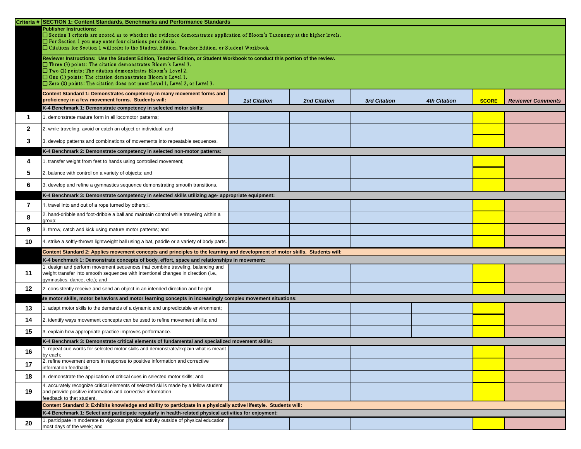|                 | Criteria # SECTION 1: Content Standards, Benchmarks and Performance Standards                                                                                                                      |                     |                     |                     |                     |              |                          |
|-----------------|----------------------------------------------------------------------------------------------------------------------------------------------------------------------------------------------------|---------------------|---------------------|---------------------|---------------------|--------------|--------------------------|
|                 | <b>Publisher Instructions:</b>                                                                                                                                                                     |                     |                     |                     |                     |              |                          |
|                 | □ Section 1 criteria are scored as to whether the evidence demonstrates application of Bloom's Taxonomy at the higher levels.<br>$\Box$ For Section 1 you may enter four citations per criteria.   |                     |                     |                     |                     |              |                          |
|                 | $\Box$ Citations for Section 1 will refer to the Student Edition, Teacher Edition, or Student Workbook                                                                                             |                     |                     |                     |                     |              |                          |
|                 | Reviewer Instructions: Use the Student Edition, Teacher Edition, or Student Workbook to conduct this portion of the review.                                                                        |                     |                     |                     |                     |              |                          |
|                 | $\Box$ Three (3) points: The citation demonstrates Bloom's Level 3.                                                                                                                                |                     |                     |                     |                     |              |                          |
|                 | $\Box$ Two (2) points: The citation demonstrates Bloom's Level 2.<br>$\Box$ One (1) points: The citation demonstrates Bloom's Level 1.                                                             |                     |                     |                     |                     |              |                          |
|                 | $\Box$ Zero (0) points: The citation does not meet Level 1, Level 2, or Level 3.                                                                                                                   |                     |                     |                     |                     |              |                          |
|                 | Content Standard 1: Demonstrates competency in many movement forms and                                                                                                                             |                     |                     |                     |                     |              |                          |
|                 | proficiency in a few movement forms. Students will:                                                                                                                                                | <b>1st Citation</b> | <b>2nd Citation</b> | <b>3rd Citation</b> | <b>4th Citation</b> | <b>SCORE</b> | <b>Reviewer Comments</b> |
|                 | K-4 Benchmark 1: Demonstrate competency in selected motor skills:                                                                                                                                  |                     |                     |                     |                     |              |                          |
|                 | demonstrate mature form in all locomotor patterns;                                                                                                                                                 |                     |                     |                     |                     |              |                          |
| $\mathbf{2}$    | 2. while traveling, avoid or catch an object or individual; and                                                                                                                                    |                     |                     |                     |                     |              |                          |
| $\mathbf{3}$    | 3. develop patterns and combinations of movements into repeatable sequences.                                                                                                                       |                     |                     |                     |                     |              |                          |
|                 | K-4 Benchmark 2: Demonstrate competency in selected non-motor patterns:                                                                                                                            |                     |                     |                     |                     |              |                          |
| 4               | 1. transfer weight from feet to hands using controlled movement;                                                                                                                                   |                     |                     |                     |                     |              |                          |
| $5\overline{)}$ | 2. balance with control on a variety of objects; and                                                                                                                                               |                     |                     |                     |                     |              |                          |
| 6               | . develop and refine a gymnastics sequence demonstrating smooth transitions.                                                                                                                       |                     |                     |                     |                     |              |                          |
|                 | K-4 Benchmark 3: Demonstrate competency in selected skills utilizing age- appropriate equipment:                                                                                                   |                     |                     |                     |                     |              |                          |
|                 | 1. travel into and out of a rope turned by others; $\square$                                                                                                                                       |                     |                     |                     |                     |              |                          |
| 8               | 2. hand-dribble and foot-dribble a ball and maintain control while traveling within a<br>group;                                                                                                    |                     |                     |                     |                     |              |                          |
| 9               | 3. throw, catch and kick using mature motor patterns; and                                                                                                                                          |                     |                     |                     |                     |              |                          |
| 10              | 4. strike a softly-thrown lightweight ball using a bat, paddle or a variety of body parts.                                                                                                         |                     |                     |                     |                     |              |                          |
|                 | Content Standard 2: Applies movement concepts and principles to the learning and development of motor skills. Students will:                                                                       |                     |                     |                     |                     |              |                          |
|                 | K-4 benchmark 1: Demonstrate concepts of body, effort, space and relationships in movement:                                                                                                        |                     |                     |                     |                     |              |                          |
| 11              | design and perform movement sequences that combine traveling, balancing and<br>weight transfer into smooth sequences with intentional changes in direction (i.e.,<br>gymnastics, dance, etc.); and |                     |                     |                     |                     |              |                          |
| 12              | 2. consistently receive and send an object in an intended direction and height.                                                                                                                    |                     |                     |                     |                     |              |                          |
|                 | te motor skills, motor behaviors and motor learning concepts in increasingly complex movement situations:                                                                                          |                     |                     |                     |                     |              |                          |
| 13              | . adapt motor skills to the demands of a dynamic and unpredictable environment;                                                                                                                    |                     |                     |                     |                     |              |                          |
| 14              | 2. identify ways movement concepts can be used to refine movement skills; and                                                                                                                      |                     |                     |                     |                     |              |                          |
| 15              | 3. explain how appropriate practice improves performance.                                                                                                                                          |                     |                     |                     |                     |              |                          |
|                 | K-4 Benchmark 3: Demonstrate critical elements of fundamental and specialized movement skills:                                                                                                     |                     |                     |                     |                     |              |                          |
| 16              | 1. repeat cue words for selected motor skills and demonstrate/explain what is meant  <br>by each:                                                                                                  |                     |                     |                     |                     |              |                          |
| 17              | 2. refine movement errors in response to positive information and corrective<br>information feedback;                                                                                              |                     |                     |                     |                     |              |                          |
| 18              | 3. demonstrate the application of critical cues in selected motor skills; and                                                                                                                      |                     |                     |                     |                     |              |                          |
| 19              | 4. accurately recognize critical elements of selected skills made by a fellow student<br>and provide positive information and corrective information<br>feedback to that student.                  |                     |                     |                     |                     |              |                          |
|                 | Content Standard 3: Exhibits knowledge and ability to participate in a physically active lifestyle. Students will:                                                                                 |                     |                     |                     |                     |              |                          |
|                 | K-4 Benchmark 1: Select and participate regularly in health-related physical activities for enjoyment:                                                                                             |                     |                     |                     |                     |              |                          |
| 20              | 1. participate in moderate to vigorous physical activity outside of physical education                                                                                                             |                     |                     |                     |                     |              |                          |
|                 | most days of the week; and                                                                                                                                                                         |                     |                     |                     |                     |              |                          |

| <b>4th Citation</b> | SCORE | <b>Reviewer Comments</b> |
|---------------------|-------|--------------------------|
|                     |       |                          |
|                     |       |                          |
|                     |       |                          |
|                     |       |                          |
|                     |       |                          |
|                     |       |                          |
|                     |       |                          |
|                     |       |                          |
|                     |       |                          |
|                     |       |                          |
|                     |       |                          |
|                     |       |                          |
|                     |       |                          |
|                     |       |                          |
|                     |       |                          |
|                     |       |                          |
|                     |       |                          |
|                     |       |                          |
|                     |       |                          |
|                     |       |                          |
|                     |       |                          |
|                     |       |                          |
|                     |       |                          |
|                     |       |                          |
|                     |       |                          |
|                     |       |                          |
|                     |       |                          |
|                     |       |                          |
|                     |       |                          |
|                     |       |                          |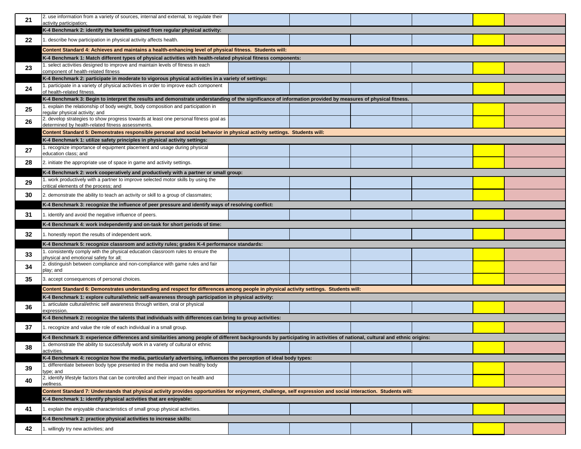|                 | 2. use information from a variety of sources, internal and external, to regulate their                                                                                  |  |  |  |
|-----------------|-------------------------------------------------------------------------------------------------------------------------------------------------------------------------|--|--|--|
| 21              | activity participation;                                                                                                                                                 |  |  |  |
|                 | K-4 Benchmark 2: identify the benefits gained from regular physical activity:                                                                                           |  |  |  |
| 22              | describe how participation in physical activity affects health.                                                                                                         |  |  |  |
|                 | Content Standard 4: Achieves and maintains a health-enhancing level of physical fitness. Students will:                                                                 |  |  |  |
|                 | K-4 Benchmark 1: Match different types of physical activities with health-related physical fitness components:                                                          |  |  |  |
| 23              | select activities designed to improve and maintain levels of fitness in each<br>component of health-related fitness                                                     |  |  |  |
|                 | K-4 Benchmark 2: participate in moderate to vigorous physical activities in a variety of settings:                                                                      |  |  |  |
| 24              | participate in a variety of physical activities in order to improve each component<br>of health-related fitness.                                                        |  |  |  |
|                 | K-4 Benchmark 3: Begin to interpret the results and demonstrate understanding of the significance of information provided by measures of physical fitness.              |  |  |  |
| 25              | explain the relationship of body weight, body composition and participation in<br>regular physical activity; and                                                        |  |  |  |
| 26              | 2. develop strategies to show progress towards at least one personal fitness goal as<br>determined by health-related fitness assessments.                               |  |  |  |
|                 | Content Standard 5: Demonstrates responsible personal and social behavior in physical activity settings. Students will:                                                 |  |  |  |
|                 | K-4 Benchmark 1: utilize safety principles in physical activity settings:                                                                                               |  |  |  |
| 27              | . recognize importance of equipment placement and usage during physical                                                                                                 |  |  |  |
|                 | education class; and                                                                                                                                                    |  |  |  |
| 28              | 2. initiate the appropriate use of space in game and activity settings.                                                                                                 |  |  |  |
|                 | K-4 Benchmark 2: work cooperatively and productively with a partner or small group:                                                                                     |  |  |  |
| 29              | work productively with a partner to improve selected motor skills by using the<br>critical elements of the process; and                                                 |  |  |  |
| 30 <sup>°</sup> | 2. demonstrate the ability to teach an activity or skill to a group of classmates;                                                                                      |  |  |  |
|                 | K-4 Benchmark 3: recognize the influence of peer pressure and identify ways of resolving conflict:                                                                      |  |  |  |
| 31              | . identify and avoid the negative influence of peers.                                                                                                                   |  |  |  |
|                 | K-4 Benchmark 4: work independently and on-task for short periods of time:                                                                                              |  |  |  |
|                 |                                                                                                                                                                         |  |  |  |
| 32              | . honestly report the results of independent work.                                                                                                                      |  |  |  |
|                 | K-4 Benchmark 5: recognize classroom and activity rules; grades K-4 performance standards:                                                                              |  |  |  |
| 33              | consistently comply with the physical education classroom rules to ensure the<br>physical and emotional safety for all;                                                 |  |  |  |
| 34              | 2. distinguish between compliance and non-compliance with game rules and fair<br>play; and                                                                              |  |  |  |
| 35              | 3. accept consequences of personal choices.                                                                                                                             |  |  |  |
|                 | Content Standard 6: Demonstrates understanding and respect for differences among people in physical activity settings. Students will:                                   |  |  |  |
|                 | K-4 Benchmark 1: explore cultural/ethnic self-awareness through participation in physical activity:                                                                     |  |  |  |
| 36              | . articulate cultural/ethnic self awareness through written, oral or physical<br>expression.                                                                            |  |  |  |
|                 | K-4 Benchmark 2: recognize the talents that individuals with differences can bring to group activities:                                                                 |  |  |  |
| 37              | recognize and value the role of each individual in a small group.                                                                                                       |  |  |  |
|                 | K-4 Benchmark 3: experience differences and similarities among people of different backgrounds by participating in activities of national, cultural and ethnic origins: |  |  |  |
| 38              | demonstrate the ability to successfully work in a variety of cultural or ethnic<br>activities.                                                                          |  |  |  |
|                 | K-4 Benchmark 4: recognize how the media, particularly advertising, influences the perception of ideal body types:                                                      |  |  |  |
| 39              | . differentiate between body type presented in the media and own healthy body<br>type; and                                                                              |  |  |  |
| 40              | 2. identify lifestyle factors that can be controlled and their impact on health and<br>wellness.                                                                        |  |  |  |
|                 | Content Standard 7: Understands that physical activity provides opportunities for enjoyment, challenge, self expression and social interaction. Students will:          |  |  |  |
|                 | K-4 Benchmark 1: identify physical activities that are enjoyable:                                                                                                       |  |  |  |
| 41              | explain the enjoyable characteristics of small group physical activities.                                                                                               |  |  |  |
| 42              | K-4 Benchmark 2: practice physical activities to increase skills:                                                                                                       |  |  |  |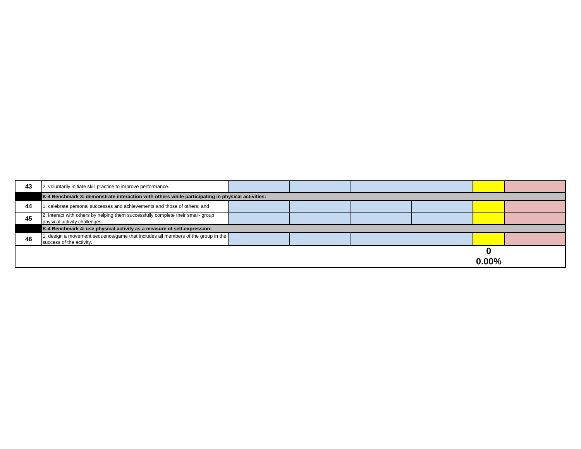| 43 | 2. voluntarily initiate skill practice to improve performance.                                                    |  |  |
|----|-------------------------------------------------------------------------------------------------------------------|--|--|
|    | K-4 Benchmark 3: demonstrate interaction with others while participating in physical activities:                  |  |  |
| 44 | celebrate personal successes and achievements and those of others; and                                            |  |  |
| 45 | 2. interact with others by helping them successfully complete their small- group<br>physical activity challenges. |  |  |
|    | K-4 Benchmark 4: use physical activity as a measure of self-expression:                                           |  |  |
| 46 | 1. design a movement sequence/game that includes all members of the group in the  <br>success of the activity.    |  |  |
|    |                                                                                                                   |  |  |

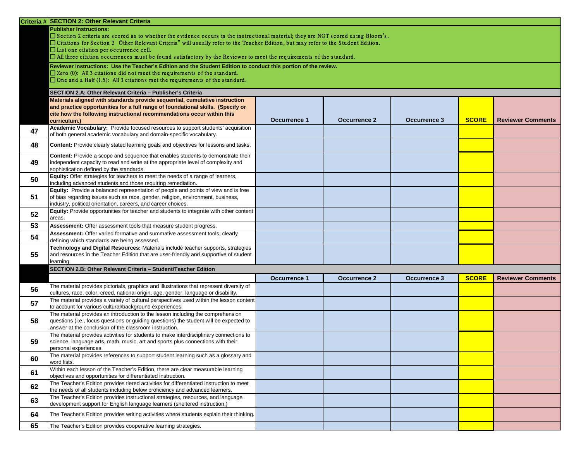|    | Criteria # SECTION 2: Other Relevant Criteria                                                                                                                                                                                                                                                                                                                      |                     |                     |                     |              |                          |  |
|----|--------------------------------------------------------------------------------------------------------------------------------------------------------------------------------------------------------------------------------------------------------------------------------------------------------------------------------------------------------------------|---------------------|---------------------|---------------------|--------------|--------------------------|--|
|    | <b>Publisher Instructions:</b><br>$\Box$ Section 2 criteria are scored as to whether the evidence occurs in the instructional material; they are NOT scored using Bloom's.<br>□ Citations for Section 2 Other Relevant Criteria" will usually refer to the Teacher Edition, but may refer to the Student Edition.<br>$\Box$ List one citation per occurrence cell. |                     |                     |                     |              |                          |  |
|    | $\Box$ All three citation occurrences must be found satisfactory by the Reviewer to meet the requirements of the standard.                                                                                                                                                                                                                                         |                     |                     |                     |              |                          |  |
|    | Reviewer Instructions: Use the Teacher's Edition and the Student Edition to conduct this portion of the review.<br>$\Box$ Zero (0): All 3 citations did not meet the requirements of the standard.<br>$\Box$ One and a Half (1.5): All 3 citations met the requirements of the standard.                                                                           |                     |                     |                     |              |                          |  |
|    | SECTION 2.A: Other Relevant Criteria - Publisher's Criteria                                                                                                                                                                                                                                                                                                        |                     |                     |                     |              |                          |  |
|    | Materials aligned with standards provide sequential, cumulative instruction<br>and practice opportunities for a full range of foundational skills. (Specify or<br>cite how the following instructional recommendations occur within this<br>curriculum.)                                                                                                           | <b>Occurrence 1</b> | <b>Occurrence 2</b> | <b>Occurrence 3</b> | <b>SCORE</b> | <b>Reviewer Comments</b> |  |
| 47 | Academic Vocabulary: Provide focused resources to support students' acquisition<br>of both general academic vocabulary and domain-specific vocabulary.                                                                                                                                                                                                             |                     |                     |                     |              |                          |  |
|    |                                                                                                                                                                                                                                                                                                                                                                    |                     |                     |                     |              |                          |  |
| 48 | <b>Content:</b> Provide clearly stated learning goals and objectives for lessons and tasks.                                                                                                                                                                                                                                                                        |                     |                     |                     |              |                          |  |
| 49 | Content: Provide a scope and sequence that enables students to demonstrate their<br>independent capacity to read and write at the appropriate level of complexity and<br>sophistication defined by the standards.                                                                                                                                                  |                     |                     |                     |              |                          |  |
| 50 | <b>Equity:</b> Offer strategies for teachers to meet the needs of a range of learners,<br>including advanced students and those requiring remediation.                                                                                                                                                                                                             |                     |                     |                     |              |                          |  |
| 51 | <b>Equity:</b> Provide a balanced representation of people and points of view and is free<br>of bias regarding issues such as race, gender, religion, environment, business,<br>industry, political orientation, careers, and career choices.                                                                                                                      |                     |                     |                     |              |                          |  |
| 52 | <b>Equity:</b> Provide opportunities for teacher and students to integrate with other content<br>areas.                                                                                                                                                                                                                                                            |                     |                     |                     |              |                          |  |
| 53 | <b>Assessment:</b> Offer assessment tools that measure student progress.                                                                                                                                                                                                                                                                                           |                     |                     |                     |              |                          |  |
| 54 | Assessment: Offer varied formative and summative assessment tools, clearly<br>defining which standards are being assessed.                                                                                                                                                                                                                                         |                     |                     |                     |              |                          |  |
| 55 | Technology and Digital Resources: Materials include teacher supports, strategies<br>and resources in the Teacher Edition that are user-friendly and supportive of student<br>learning.                                                                                                                                                                             |                     |                     |                     |              |                          |  |
|    | SECTION 2.B: Other Relevant Criteria - Student/Teacher Edition                                                                                                                                                                                                                                                                                                     |                     |                     |                     |              |                          |  |
|    |                                                                                                                                                                                                                                                                                                                                                                    | <b>Occurrence 1</b> | <b>Occurrence 2</b> | <b>Occurrence 3</b> | <b>SCORE</b> | <b>Reviewer Comments</b> |  |
| 56 | The material provides pictorials, graphics and illustrations that represent diversity of<br>cultures, race, color, creed, national origin, age, gender, language or disability.                                                                                                                                                                                    |                     |                     |                     |              |                          |  |
| 57 | The material provides a variety of cultural perspectives used within the lesson content<br>to account for various cultural/background experiences.                                                                                                                                                                                                                 |                     |                     |                     |              |                          |  |
| 58 | The material provides an introduction to the lesson including the comprehension<br>questions (i.e., focus questions or guiding questions) the student will be expected to<br>answer at the conclusion of the classroom instruction.                                                                                                                                |                     |                     |                     |              |                          |  |
| 59 | The material provides activities for students to make interdisciplinary connections to<br>science, language arts, math, music, art and sports plus connections with their<br>personal experiences.                                                                                                                                                                 |                     |                     |                     |              |                          |  |
| 60 | The material provides references to support student learning such as a glossary and<br>word lists.                                                                                                                                                                                                                                                                 |                     |                     |                     |              |                          |  |
| 61 | Within each lesson of the Teacher's Edition, there are clear measurable learning<br>objectives and opportunities for differentiated instruction.                                                                                                                                                                                                                   |                     |                     |                     |              |                          |  |
| 62 | The Teacher's Edition provides tiered activities for differentiated instruction to meet<br>the needs of all students including below proficiency and advanced learners.                                                                                                                                                                                            |                     |                     |                     |              |                          |  |
| 63 | The Teacher's Edition provides instructional strategies, resources, and language<br>development support for English language learners (sheltered instruction.)                                                                                                                                                                                                     |                     |                     |                     |              |                          |  |
| 64 | The Teacher's Edition provides writing activities where students explain their thinking.                                                                                                                                                                                                                                                                           |                     |                     |                     |              |                          |  |
| 65 | The Teacher's Edition provides cooperative learning strategies.                                                                                                                                                                                                                                                                                                    |                     |                     |                     |              |                          |  |

| <b>SCORE</b> | <b>Reviewer Comments</b> |
|--------------|--------------------------|
|              |                          |
|              |                          |
|              |                          |
|              |                          |
|              |                          |
|              |                          |
|              |                          |
|              |                          |
|              |                          |

| <b>SCORE</b> | <b>Reviewer Comments</b> |
|--------------|--------------------------|
|              |                          |
|              |                          |
|              |                          |
|              |                          |
|              |                          |
|              |                          |
|              |                          |
|              |                          |
|              |                          |
|              |                          |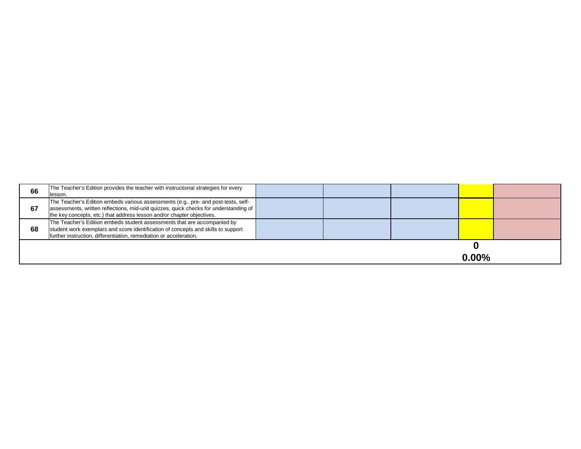| 66 | The Teacher's Edition provides the teacher with instructional strategies for every    |  |  |
|----|---------------------------------------------------------------------------------------|--|--|
|    | llesson.                                                                              |  |  |
|    | The Teacher's Edition embeds various assessments (e.g., pre- and post-tests, self-    |  |  |
| 67 | assessments, written reflections, mid-unit quizzes, quick checks for understanding of |  |  |
|    | the key concepts, etc.) that address lesson and/or chapter objectives.                |  |  |
|    | The Teacher's Edition embeds student assessments that are accompanied by              |  |  |
| 68 | student work exemplars and score identification of concepts and skills to support     |  |  |
|    | further instruction, differentiation, remediation or acceleration.                    |  |  |
|    |                                                                                       |  |  |
|    |                                                                                       |  |  |